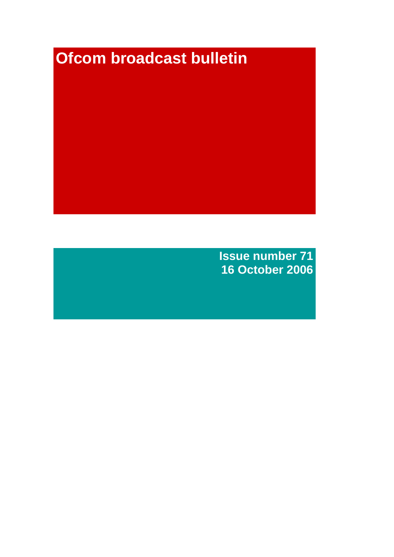# **Ofcom broadcast bulletin**

**Issue number 71 16 October 2006**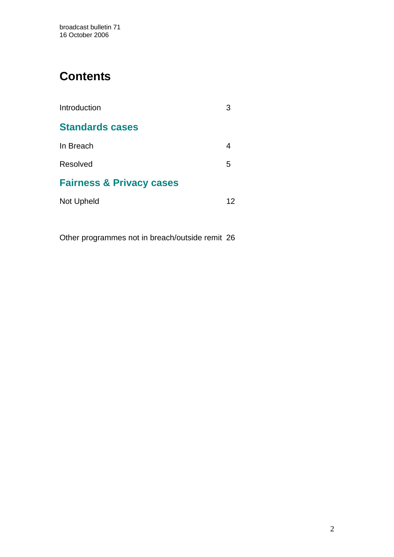# **Contents**

| Introduction                        |    |
|-------------------------------------|----|
| <b>Standards cases</b>              |    |
| In Breach                           |    |
| Resolved                            | 5  |
| <b>Fairness &amp; Privacy cases</b> |    |
| Not Upheld                          | 12 |

Other programmes not in breach/outside remit 26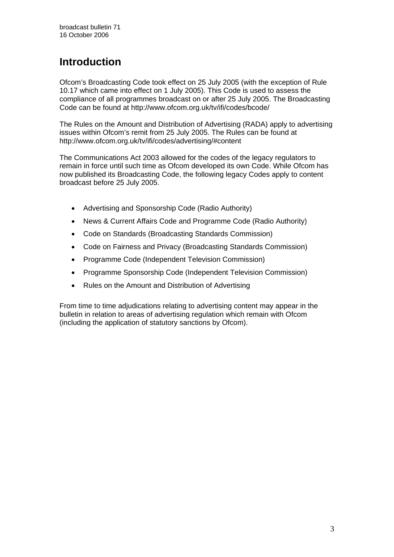# **Introduction**

Ofcom's Broadcasting Code took effect on 25 July 2005 (with the exception of Rule 10.17 which came into effect on 1 July 2005). This Code is used to assess the compliance of all programmes broadcast on or after 25 July 2005. The Broadcasting Code can be found at http://www.ofcom.org.uk/tv/ifi/codes/bcode/

The Rules on the Amount and Distribution of Advertising (RADA) apply to advertising issues within Ofcom's remit from 25 July 2005. The Rules can be found at http://www.ofcom.org.uk/tv/ifi/codes/advertising/#content

The Communications Act 2003 allowed for the codes of the legacy regulators to remain in force until such time as Ofcom developed its own Code. While Ofcom has now published its Broadcasting Code, the following legacy Codes apply to content broadcast before 25 July 2005.

- Advertising and Sponsorship Code (Radio Authority)
- News & Current Affairs Code and Programme Code (Radio Authority)
- Code on Standards (Broadcasting Standards Commission)
- Code on Fairness and Privacy (Broadcasting Standards Commission)
- Programme Code (Independent Television Commission)
- Programme Sponsorship Code (Independent Television Commission)
- Rules on the Amount and Distribution of Advertising

From time to time adjudications relating to advertising content may appear in the bulletin in relation to areas of advertising regulation which remain with Ofcom (including the application of statutory sanctions by Ofcom).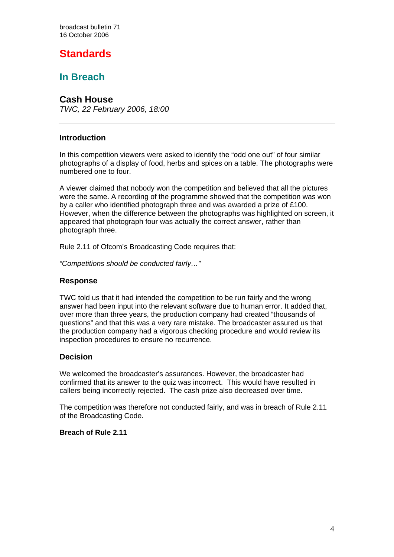broadcast bulletin 71 16 October 2006

# **Standards**

### **In Breach**

#### **Cash House**

*TWC, 22 February 2006, 18:00*

#### **Introduction**

In this competition viewers were asked to identify the "odd one out" of four similar photographs of a display of food, herbs and spices on a table. The photographs were numbered one to four.

A viewer claimed that nobody won the competition and believed that all the pictures were the same. A recording of the programme showed that the competition was won by a caller who identified photograph three and was awarded a prize of £100. However, when the difference between the photographs was highlighted on screen, it appeared that photograph four was actually the correct answer, rather than photograph three.

Rule 2.11 of Ofcom's Broadcasting Code requires that:

*"Competitions should be conducted fairly…"* 

#### **Response**

TWC told us that it had intended the competition to be run fairly and the wrong answer had been input into the relevant software due to human error. It added that, over more than three years, the production company had created "thousands of questions" and that this was a very rare mistake. The broadcaster assured us that the production company had a vigorous checking procedure and would review its inspection procedures to ensure no recurrence.

#### **Decision**

We welcomed the broadcaster's assurances. However, the broadcaster had confirmed that its answer to the quiz was incorrect. This would have resulted in callers being incorrectly rejected. The cash prize also decreased over time.

The competition was therefore not conducted fairly, and was in breach of Rule 2.11 of the Broadcasting Code.

#### **Breach of Rule 2.11**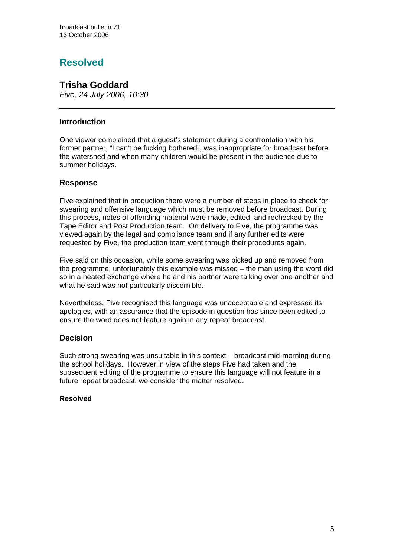# **Resolved**

# **Trisha Goddard**

*Five, 24 July 2006, 10:30*

#### **Introduction**

One viewer complained that a guest's statement during a confrontation with his former partner, "I can't be fucking bothered", was inappropriate for broadcast before the watershed and when many children would be present in the audience due to summer holidays.

#### **Response**

Five explained that in production there were a number of steps in place to check for swearing and offensive language which must be removed before broadcast. During this process, notes of offending material were made, edited, and rechecked by the Tape Editor and Post Production team. On delivery to Five, the programme was viewed again by the legal and compliance team and if any further edits were requested by Five, the production team went through their procedures again.

Five said on this occasion, while some swearing was picked up and removed from the programme, unfortunately this example was missed – the man using the word did so in a heated exchange where he and his partner were talking over one another and what he said was not particularly discernible.

Nevertheless, Five recognised this language was unacceptable and expressed its apologies, with an assurance that the episode in question has since been edited to ensure the word does not feature again in any repeat broadcast.

#### **Decision**

Such strong swearing was unsuitable in this context – broadcast mid-morning during the school holidays. However in view of the steps Five had taken and the subsequent editing of the programme to ensure this language will not feature in a future repeat broadcast, we consider the matter resolved.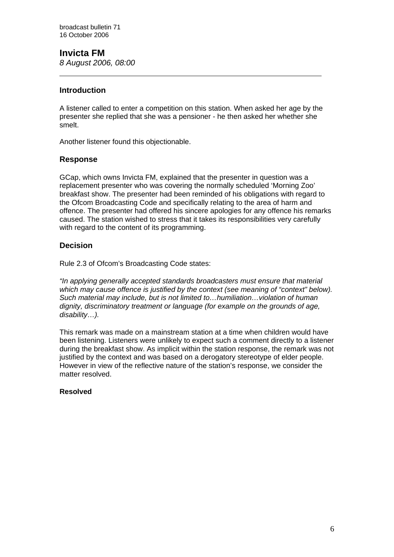# **Invicta FM**

*8 August 2006, 08:00*

#### **Introduction**

 $\overline{a}$ 

A listener called to enter a competition on this station. When asked her age by the presenter she replied that she was a pensioner - he then asked her whether she smelt.

Another listener found this objectionable.

#### **Response**

GCap, which owns Invicta FM, explained that the presenter in question was a replacement presenter who was covering the normally scheduled 'Morning Zoo' breakfast show. The presenter had been reminded of his obligations with regard to the Ofcom Broadcasting Code and specifically relating to the area of harm and offence. The presenter had offered his sincere apologies for any offence his remarks caused. The station wished to stress that it takes its responsibilities very carefully with regard to the content of its programming.

#### **Decision**

Rule 2.3 of Ofcom's Broadcasting Code states:

*"In applying generally accepted standards broadcasters must ensure that material which may cause offence is justified by the context (see meaning of "context" below). Such material may include, but is not limited to…humiliation…violation of human dignity, discriminatory treatment or language (for example on the grounds of age, disability…).* 

This remark was made on a mainstream station at a time when children would have been listening. Listeners were unlikely to expect such a comment directly to a listener during the breakfast show. As implicit within the station response, the remark was not justified by the context and was based on a derogatory stereotype of elder people. However in view of the reflective nature of the station's response, we consider the matter resolved.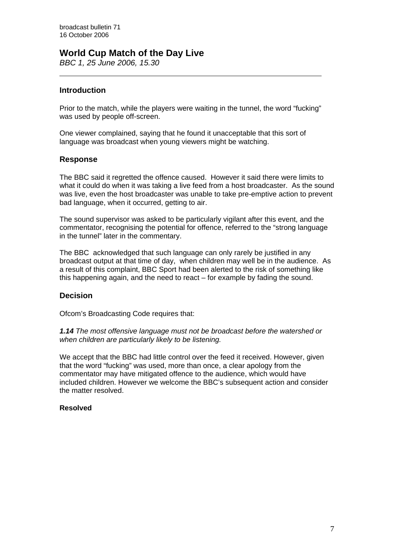### **World Cup Match of the Day Live**

*BBC 1, 25 June 2006, 15.30* 

#### **Introduction**

Prior to the match, while the players were waiting in the tunnel, the word "fucking" was used by people off-screen.

One viewer complained, saying that he found it unacceptable that this sort of language was broadcast when young viewers might be watching.

#### **Response**

The BBC said it regretted the offence caused. However it said there were limits to what it could do when it was taking a live feed from a host broadcaster. As the sound was live, even the host broadcaster was unable to take pre-emptive action to prevent bad language, when it occurred, getting to air.

The sound supervisor was asked to be particularly vigilant after this event, and the commentator, recognising the potential for offence, referred to the "strong language in the tunnel" later in the commentary.

The BBC acknowledged that such language can only rarely be justified in any broadcast output at that time of day, when children may well be in the audience. As a result of this complaint, BBC Sport had been alerted to the risk of something like this happening again, and the need to react – for example by fading the sound.

#### **Decision**

Ofcom's Broadcasting Code requires that:

*1.14 The most offensive language must not be broadcast before the watershed or when children are particularly likely to be listening.* 

We accept that the BBC had little control over the feed it received. However, given that the word "fucking" was used, more than once, a clear apology from the commentator may have mitigated offence to the audience, which would have included children. However we welcome the BBC's subsequent action and consider the matter resolved.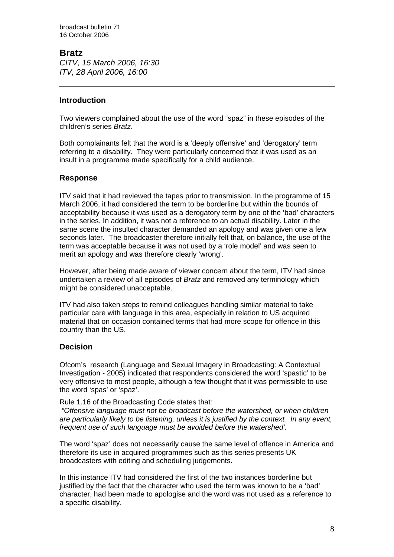#### **Bratz**

*CITV, 15 March 2006, 16:30 ITV, 28 April 2006, 16:00* 

#### **Introduction**

Two viewers complained about the use of the word "spaz" in these episodes of the children's series *Bratz*.

Both complainants felt that the word is a 'deeply offensive' and 'derogatory' term referring to a disability. They were particularly concerned that it was used as an insult in a programme made specifically for a child audience.

#### **Response**

ITV said that it had reviewed the tapes prior to transmission. In the programme of 15 March 2006, it had considered the term to be borderline but within the bounds of acceptability because it was used as a derogatory term by one of the 'bad' characters in the series. In addition, it was not a reference to an actual disability. Later in the same scene the insulted character demanded an apology and was given one a few seconds later. The broadcaster therefore initially felt that, on balance, the use of the term was acceptable because it was not used by a 'role model' and was seen to merit an apology and was therefore clearly 'wrong'.

However, after being made aware of viewer concern about the term, ITV had since undertaken a review of all episodes of *Bratz* and removed any terminology which might be considered unacceptable.

ITV had also taken steps to remind colleagues handling similar material to take particular care with language in this area, especially in relation to US acquired material that on occasion contained terms that had more scope for offence in this country than the US.

#### **Decision**

Ofcom's research (Language and Sexual Imagery in Broadcasting: A Contextual Investigation - 2005) indicated that respondents considered the word 'spastic' to be very offensive to most people, although a few thought that it was permissible to use the word 'spas' or 'spaz'.

Rule 1.16 of the Broadcasting Code states that*:* 

 *"Offensive language must not be broadcast before the watershed, or when children are particularly likely to be listening, unless it is justified by the context. In any event, frequent use of such language must be avoided before the watershed'.*

The word 'spaz' does not necessarily cause the same level of offence in America and therefore its use in acquired programmes such as this series presents UK broadcasters with editing and scheduling judgements.

In this instance ITV had considered the first of the two instances borderline but justified by the fact that the character who used the term was known to be a 'bad' character, had been made to apologise and the word was not used as a reference to a specific disability.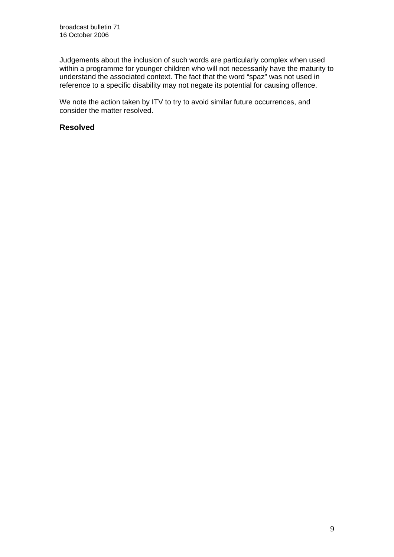Judgements about the inclusion of such words are particularly complex when used within a programme for younger children who will not necessarily have the maturity to understand the associated context. The fact that the word "spaz" was not used in reference to a specific disability may not negate its potential for causing offence.

We note the action taken by ITV to try to avoid similar future occurrences, and consider the matter resolved.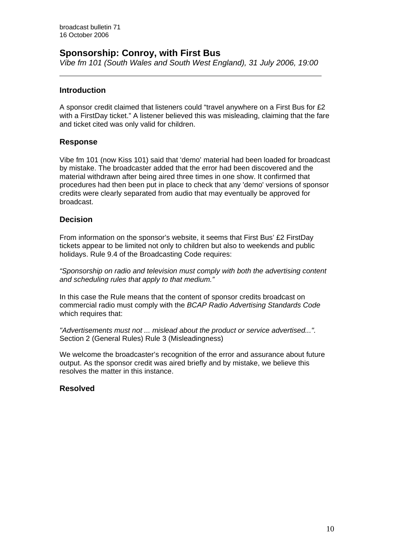### **Sponsorship: Conroy, with First Bus**

*Vibe fm 101 (South Wales and South West England), 31 July 2006, 19:00* 

#### **Introduction**

 $\overline{a}$ 

A sponsor credit claimed that listeners could "travel anywhere on a First Bus for £2 with a FirstDay ticket." A listener believed this was misleading, claiming that the fare and ticket cited was only valid for children.

#### **Response**

Vibe fm 101 (now Kiss 101) said that 'demo' material had been loaded for broadcast by mistake. The broadcaster added that the error had been discovered and the material withdrawn after being aired three times in one show. It confirmed that procedures had then been put in place to check that any 'demo' versions of sponsor credits were clearly separated from audio that may eventually be approved for broadcast.

#### **Decision**

From information on the sponsor's website, it seems that First Bus' £2 FirstDay tickets appear to be limited not only to children but also to weekends and public holidays. Rule 9.4 of the Broadcasting Code requires:

*"Sponsorship on radio and television must comply with both the advertising content and scheduling rules that apply to that medium."* 

In this case the Rule means that the content of sponsor credits broadcast on commercial radio must comply with the *BCAP Radio Advertising Standards Code* which requires that:

*"Advertisements must not ... mislead about the product or service advertised...".* Section 2 (General Rules) Rule 3 (Misleadingness)

We welcome the broadcaster's recognition of the error and assurance about future output. As the sponsor credit was aired briefly and by mistake, we believe this resolves the matter in this instance.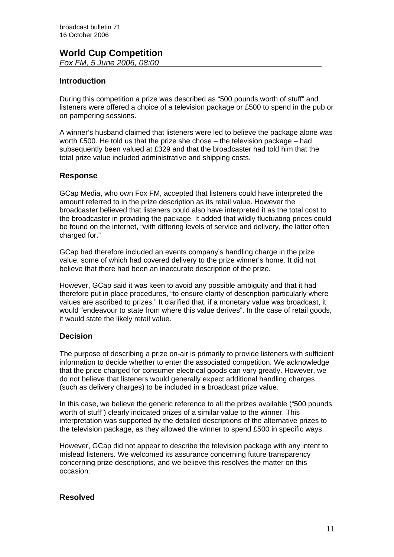#### **World Cup Competition**  *Fox FM, 5 June 2006, 08:00*

#### **Introduction**

During this competition a prize was described as "500 pounds worth of stuff" and listeners were offered a choice of a television package or £500 to spend in the pub or on pampering sessions.

A winner's husband claimed that listeners were led to believe the package alone was worth £500. He told us that the prize she chose – the television package – had subsequently been valued at £329 and that the broadcaster had told him that the total prize value included administrative and shipping costs.

#### **Response**

GCap Media, who own Fox FM, accepted that listeners could have interpreted the amount referred to in the prize description as its retail value. However the broadcaster believed that listeners could also have interpreted it as the total cost to the broadcaster in providing the package. It added that wildly fluctuating prices could be found on the internet, "with differing levels of service and delivery, the latter often charged for."

GCap had therefore included an events company's handling charge in the prize value, some of which had covered delivery to the prize winner's home. It did not believe that there had been an inaccurate description of the prize.

However, GCap said it was keen to avoid any possible ambiguity and that it had therefore put in place procedures, "to ensure clarity of description particularly where values are ascribed to prizes." It clarified that, if a monetary value was broadcast, it would "endeavour to state from where this value derives". In the case of retail goods, it would state the likely retail value.

#### **Decision**

The purpose of describing a prize on-air is primarily to provide listeners with sufficient information to decide whether to enter the associated competition. We acknowledge that the price charged for consumer electrical goods can vary greatly. However, we do not believe that listeners would generally expect additional handling charges (such as delivery charges) to be included in a broadcast prize value.

In this case, we believe the generic reference to all the prizes available ("500 pounds worth of stuff") clearly indicated prizes of a similar value to the winner. This interpretation was supported by the detailed descriptions of the alternative prizes to the television package, as they allowed the winner to spend £500 in specific ways.

However, GCap did not appear to describe the television package with any intent to mislead listeners. We welcomed its assurance concerning future transparency concerning prize descriptions, and we believe this resolves the matter on this occasion.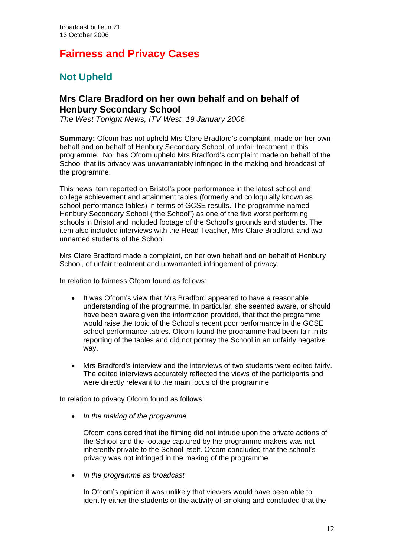# **Fairness and Privacy Cases**

# **Not Upheld**

### **Mrs Clare Bradford on her own behalf and on behalf of Henbury Secondary School**

*The West Tonight News, ITV West, 19 January 2006* 

**Summary:** Ofcom has not upheld Mrs Clare Bradford's complaint, made on her own behalf and on behalf of Henbury Secondary School, of unfair treatment in this programme. Nor has Ofcom upheld Mrs Bradford's complaint made on behalf of the School that its privacy was unwarrantably infringed in the making and broadcast of the programme.

This news item reported on Bristol's poor performance in the latest school and college achievement and attainment tables (formerly and colloquially known as school performance tables) in terms of GCSE results. The programme named Henbury Secondary School ("the School") as one of the five worst performing schools in Bristol and included footage of the School's grounds and students. The item also included interviews with the Head Teacher, Mrs Clare Bradford, and two unnamed students of the School.

Mrs Clare Bradford made a complaint, on her own behalf and on behalf of Henbury School, of unfair treatment and unwarranted infringement of privacy.

In relation to fairness Ofcom found as follows:

- It was Ofcom's view that Mrs Bradford appeared to have a reasonable understanding of the programme. In particular, she seemed aware, or should have been aware given the information provided, that that the programme would raise the topic of the School's recent poor performance in the GCSE school performance tables. Ofcom found the programme had been fair in its reporting of the tables and did not portray the School in an unfairly negative way.
- Mrs Bradford's interview and the interviews of two students were edited fairly. The edited interviews accurately reflected the views of the participants and were directly relevant to the main focus of the programme.

In relation to privacy Ofcom found as follows:

• *In the making of the programme* 

Ofcom considered that the filming did not intrude upon the private actions of the School and the footage captured by the programme makers was not inherently private to the School itself. Ofcom concluded that the school's privacy was not infringed in the making of the programme.

• *In the programme as broadcast* 

In Ofcom's opinion it was unlikely that viewers would have been able to identify either the students or the activity of smoking and concluded that the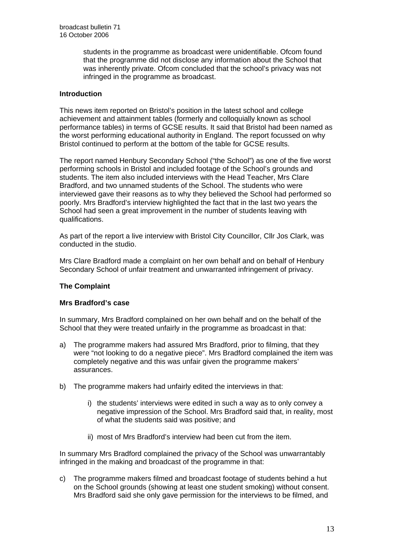students in the programme as broadcast were unidentifiable. Ofcom found that the programme did not disclose any information about the School that was inherently private. Ofcom concluded that the school's privacy was not infringed in the programme as broadcast.

#### **Introduction**

This news item reported on Bristol's position in the latest school and college achievement and attainment tables (formerly and colloquially known as school performance tables) in terms of GCSE results. It said that Bristol had been named as the worst performing educational authority in England. The report focussed on why Bristol continued to perform at the bottom of the table for GCSE results.

The report named Henbury Secondary School ("the School") as one of the five worst performing schools in Bristol and included footage of the School's grounds and students. The item also included interviews with the Head Teacher, Mrs Clare Bradford, and two unnamed students of the School. The students who were interviewed gave their reasons as to why they believed the School had performed so poorly. Mrs Bradford's interview highlighted the fact that in the last two years the School had seen a great improvement in the number of students leaving with qualifications.

As part of the report a live interview with Bristol City Councillor, Cllr Jos Clark, was conducted in the studio.

Mrs Clare Bradford made a complaint on her own behalf and on behalf of Henbury Secondary School of unfair treatment and unwarranted infringement of privacy.

#### **The Complaint**

#### **Mrs Bradford's case**

In summary, Mrs Bradford complained on her own behalf and on the behalf of the School that they were treated unfairly in the programme as broadcast in that:

- a) The programme makers had assured Mrs Bradford, prior to filming, that they were "not looking to do a negative piece". Mrs Bradford complained the item was completely negative and this was unfair given the programme makers' assurances.
- b) The programme makers had unfairly edited the interviews in that:
	- i) the students' interviews were edited in such a way as to only convey a negative impression of the School. Mrs Bradford said that, in reality, most of what the students said was positive; and
	- ii) most of Mrs Bradford's interview had been cut from the item.

In summary Mrs Bradford complained the privacy of the School was unwarrantably infringed in the making and broadcast of the programme in that:

c) The programme makers filmed and broadcast footage of students behind a hut on the School grounds (showing at least one student smoking) without consent. Mrs Bradford said she only gave permission for the interviews to be filmed, and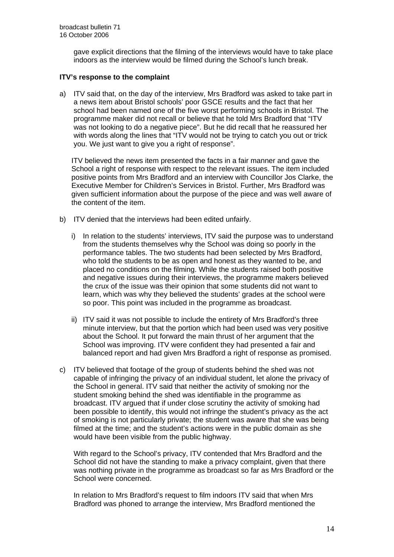gave explicit directions that the filming of the interviews would have to take place indoors as the interview would be filmed during the School's lunch break.

#### **ITV's response to the complaint**

a) ITV said that, on the day of the interview, Mrs Bradford was asked to take part in a news item about Bristol schools' poor GSCE results and the fact that her school had been named one of the five worst performing schools in Bristol. The programme maker did not recall or believe that he told Mrs Bradford that "ITV was not looking to do a negative piece". But he did recall that he reassured her with words along the lines that "ITV would not be trying to catch you out or trick you. We just want to give you a right of response".

ITV believed the news item presented the facts in a fair manner and gave the School a right of response with respect to the relevant issues. The item included positive points from Mrs Bradford and an interview with Councillor Jos Clarke, the Executive Member for Children's Services in Bristol. Further, Mrs Bradford was given sufficient information about the purpose of the piece and was well aware of the content of the item.

- b) ITV denied that the interviews had been edited unfairly.
	- i) In relation to the students' interviews, ITV said the purpose was to understand from the students themselves why the School was doing so poorly in the performance tables. The two students had been selected by Mrs Bradford, who told the students to be as open and honest as they wanted to be, and placed no conditions on the filming. While the students raised both positive and negative issues during their interviews, the programme makers believed the crux of the issue was their opinion that some students did not want to learn, which was why they believed the students' grades at the school were so poor. This point was included in the programme as broadcast.
	- ii) ITV said it was not possible to include the entirety of Mrs Bradford's three minute interview, but that the portion which had been used was very positive about the School. It put forward the main thrust of her argument that the School was improving. ITV were confident they had presented a fair and balanced report and had given Mrs Bradford a right of response as promised.
- c) ITV believed that footage of the group of students behind the shed was not capable of infringing the privacy of an individual student, let alone the privacy of the School in general. ITV said that neither the activity of smoking nor the student smoking behind the shed was identifiable in the programme as broadcast. ITV argued that if under close scrutiny the activity of smoking had been possible to identify, this would not infringe the student's privacy as the act of smoking is not particularly private; the student was aware that she was being filmed at the time; and the student's actions were in the public domain as she would have been visible from the public highway.

With regard to the School's privacy, ITV contended that Mrs Bradford and the School did not have the standing to make a privacy complaint, given that there was nothing private in the programme as broadcast so far as Mrs Bradford or the School were concerned.

In relation to Mrs Bradford's request to film indoors ITV said that when Mrs Bradford was phoned to arrange the interview, Mrs Bradford mentioned the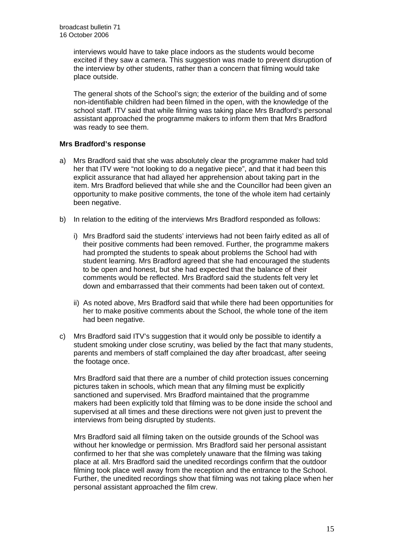interviews would have to take place indoors as the students would become excited if they saw a camera. This suggestion was made to prevent disruption of the interview by other students, rather than a concern that filming would take place outside.

The general shots of the School's sign; the exterior of the building and of some non-identifiable children had been filmed in the open, with the knowledge of the school staff. ITV said that while filming was taking place Mrs Bradford's personal assistant approached the programme makers to inform them that Mrs Bradford was ready to see them.

#### **Mrs Bradford's response**

- a) Mrs Bradford said that she was absolutely clear the programme maker had told her that ITV were "not looking to do a negative piece", and that it had been this explicit assurance that had allayed her apprehension about taking part in the item. Mrs Bradford believed that while she and the Councillor had been given an opportunity to make positive comments, the tone of the whole item had certainly been negative.
- b) In relation to the editing of the interviews Mrs Bradford responded as follows:
	- i) Mrs Bradford said the students' interviews had not been fairly edited as all of their positive comments had been removed. Further, the programme makers had prompted the students to speak about problems the School had with student learning. Mrs Bradford agreed that she had encouraged the students to be open and honest, but she had expected that the balance of their comments would be reflected. Mrs Bradford said the students felt very let down and embarrassed that their comments had been taken out of context.
	- ii) As noted above, Mrs Bradford said that while there had been opportunities for her to make positive comments about the School, the whole tone of the item had been negative.
- c) Mrs Bradford said ITV's suggestion that it would only be possible to identify a student smoking under close scrutiny, was belied by the fact that many students, parents and members of staff complained the day after broadcast, after seeing the footage once.

Mrs Bradford said that there are a number of child protection issues concerning pictures taken in schools, which mean that any filming must be explicitly sanctioned and supervised. Mrs Bradford maintained that the programme makers had been explicitly told that filming was to be done inside the school and supervised at all times and these directions were not given just to prevent the interviews from being disrupted by students.

Mrs Bradford said all filming taken on the outside grounds of the School was without her knowledge or permission. Mrs Bradford said her personal assistant confirmed to her that she was completely unaware that the filming was taking place at all. Mrs Bradford said the unedited recordings confirm that the outdoor filming took place well away from the reception and the entrance to the School. Further, the unedited recordings show that filming was not taking place when her personal assistant approached the film crew.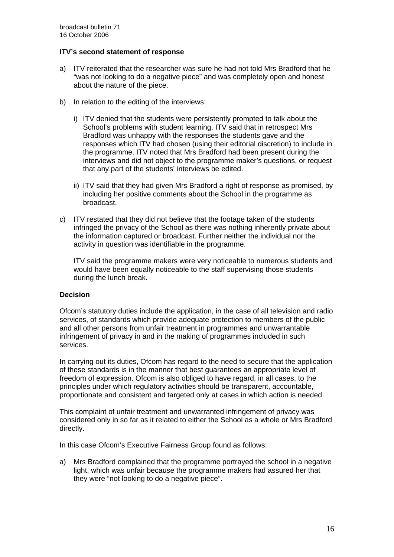#### **ITV's second statement of response**

- a) ITV reiterated that the researcher was sure he had not told Mrs Bradford that he "was not looking to do a negative piece" and was completely open and honest about the nature of the piece.
- b) In relation to the editing of the interviews:
	- i) ITV denied that the students were persistently prompted to talk about the School's problems with student learning. ITV said that in retrospect Mrs Bradford was unhappy with the responses the students gave and the responses which ITV had chosen (using their editorial discretion) to include in the programme. ITV noted that Mrs Bradford had been present during the interviews and did not object to the programme maker's questions, or request that any part of the students' interviews be edited.
	- ii) ITV said that they had given Mrs Bradford a right of response as promised, by including her positive comments about the School in the programme as broadcast.
- c) ITV restated that they did not believe that the footage taken of the students infringed the privacy of the School as there was nothing inherently private about the information captured or broadcast. Further neither the individual nor the activity in question was identifiable in the programme.

ITV said the programme makers were very noticeable to numerous students and would have been equally noticeable to the staff supervising those students during the lunch break.

#### **Decision**

Ofcom's statutory duties include the application, in the case of all television and radio services, of standards which provide adequate protection to members of the public and all other persons from unfair treatment in programmes and unwarrantable infringement of privacy in and in the making of programmes included in such services.

In carrying out its duties, Ofcom has regard to the need to secure that the application of these standards is in the manner that best guarantees an appropriate level of freedom of expression. Ofcom is also obliged to have regard, in all cases, to the principles under which regulatory activities should be transparent, accountable, proportionate and consistent and targeted only at cases in which action is needed.

This complaint of unfair treatment and unwarranted infringement of privacy was considered only in so far as it related to either the School as a whole or Mrs Bradford directly.

In this case Ofcom's Executive Fairness Group found as follows:

a) Mrs Bradford complained that the programme portrayed the school in a negative light, which was unfair because the programme makers had assured her that they were "not looking to do a negative piece".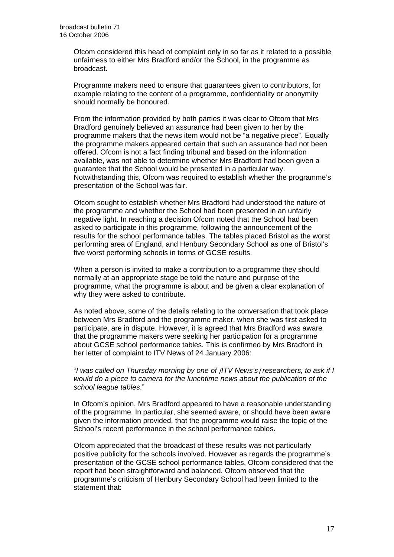Ofcom considered this head of complaint only in so far as it related to a possible unfairness to either Mrs Bradford and/or the School, in the programme as broadcast.

 Programme makers need to ensure that guarantees given to contributors, for example relating to the content of a programme, confidentiality or anonymity should normally be honoured.

 From the information provided by both parties it was clear to Ofcom that Mrs Bradford genuinely believed an assurance had been given to her by the programme makers that the news item would not be "a negative piece". Equally the programme makers appeared certain that such an assurance had not been offered. Ofcom is not a fact finding tribunal and based on the information available, was not able to determine whether Mrs Bradford had been given a guarantee that the School would be presented in a particular way. Notwithstanding this, Ofcom was required to establish whether the programme's presentation of the School was fair.

 Ofcom sought to establish whether Mrs Bradford had understood the nature of the programme and whether the School had been presented in an unfairly negative light. In reaching a decision Ofcom noted that the School had been asked to participate in this programme, following the announcement of the results for the school performance tables. The tables placed Bristol as the worst performing area of England, and Henbury Secondary School as one of Bristol's five worst performing schools in terms of GCSE results.

When a person is invited to make a contribution to a programme they should normally at an appropriate stage be told the nature and purpose of the programme, what the programme is about and be given a clear explanation of why they were asked to contribute.

As noted above, some of the details relating to the conversation that took place between Mrs Bradford and the programme maker, when she was first asked to participate, are in dispute. However, it is agreed that Mrs Bradford was aware that the programme makers were seeking her participation for a programme about GCSE school performance tables. This is confirmed by Mrs Bradford in her letter of complaint to ITV News of 24 January 2006:

 "*I was called on Thursday morning by one of* [*ITV News's*] *researchers, to ask if I would do a piece to camera for the lunchtime news about the publication of the school league tables*."

 In Ofcom's opinion, Mrs Bradford appeared to have a reasonable understanding of the programme. In particular, she seemed aware, or should have been aware given the information provided, that the programme would raise the topic of the School's recent performance in the school performance tables.

Ofcom appreciated that the broadcast of these results was not particularly positive publicity for the schools involved. However as regards the programme's presentation of the GCSE school performance tables, Ofcom considered that the report had been straightforward and balanced. Ofcom observed that the programme's criticism of Henbury Secondary School had been limited to the statement that: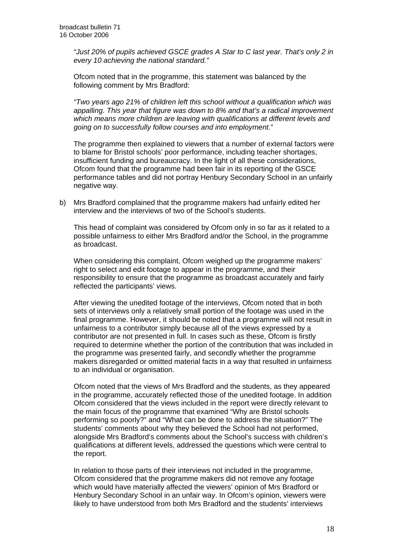*"Just 20% of pupils achieved GSCE grades A Star to C last year. That's only 2 in every 10 achieving the national standard."* 

 Ofcom noted that in the programme, this statement was balanced by the following comment by Mrs Bradford:

*"Two years ago 21% of children left this school without a qualification which was appalling. This year that figure was down to 8% and that's a radical improvement which means more children are leaving with qualifications at different levels and going on to successfully follow courses and into employment.*"

The programme then explained to viewers that a number of external factors were to blame for Bristol schools' poor performance, including teacher shortages, insufficient funding and bureaucracy. In the light of all these considerations, Ofcom found that the programme had been fair in its reporting of the GSCE performance tables and did not portray Henbury Secondary School in an unfairly negative way.

b) Mrs Bradford complained that the programme makers had unfairly edited her interview and the interviews of two of the School's students.

This head of complaint was considered by Ofcom only in so far as it related to a possible unfairness to either Mrs Bradford and/or the School, in the programme as broadcast.

When considering this complaint, Ofcom weighed up the programme makers' right to select and edit footage to appear in the programme, and their responsibility to ensure that the programme as broadcast accurately and fairly reflected the participants' views.

After viewing the unedited footage of the interviews, Ofcom noted that in both sets of interviews only a relatively small portion of the footage was used in the final programme. However, it should be noted that a programme will not result in unfairness to a contributor simply because all of the views expressed by a contributor are not presented in full. In cases such as these, Ofcom is firstly required to determine whether the portion of the contribution that was included in the programme was presented fairly, and secondly whether the programme makers disregarded or omitted material facts in a way that resulted in unfairness to an individual or organisation.

Ofcom noted that the views of Mrs Bradford and the students, as they appeared in the programme, accurately reflected those of the unedited footage. In addition Ofcom considered that the views included in the report were directly relevant to the main focus of the programme that examined "Why are Bristol schools performing so poorly?" and "What can be done to address the situation?" The students' comments about why they believed the School had not performed, alongside Mrs Bradford's comments about the School's success with children's qualifications at different levels, addressed the questions which were central to the report.

In relation to those parts of their interviews not included in the programme, Ofcom considered that the programme makers did not remove any footage which would have materially affected the viewers' opinion of Mrs Bradford or Henbury Secondary School in an unfair way. In Ofcom's opinion, viewers were likely to have understood from both Mrs Bradford and the students' interviews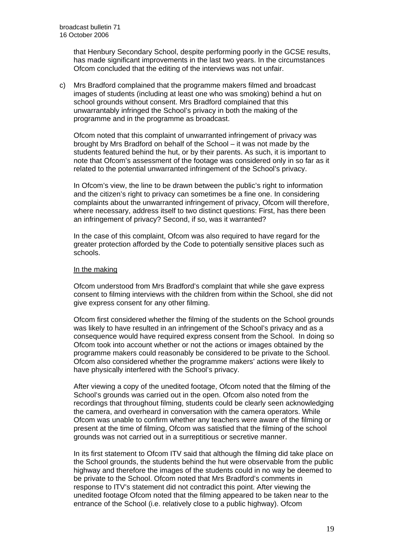that Henbury Secondary School, despite performing poorly in the GCSE results, has made significant improvements in the last two years. In the circumstances Ofcom concluded that the editing of the interviews was not unfair.

c) Mrs Bradford complained that the programme makers filmed and broadcast images of students (including at least one who was smoking) behind a hut on school grounds without consent. Mrs Bradford complained that this unwarrantably infringed the School's privacy in both the making of the programme and in the programme as broadcast.

Ofcom noted that this complaint of unwarranted infringement of privacy was brought by Mrs Bradford on behalf of the School – it was not made by the students featured behind the hut, or by their parents. As such, it is important to note that Ofcom's assessment of the footage was considered only in so far as it related to the potential unwarranted infringement of the School's privacy.

In Ofcom's view, the line to be drawn between the public's right to information and the citizen's right to privacy can sometimes be a fine one. In considering complaints about the unwarranted infringement of privacy, Ofcom will therefore, where necessary, address itself to two distinct questions: First, has there been an infringement of privacy? Second, if so, was it warranted?

In the case of this complaint, Ofcom was also required to have regard for the greater protection afforded by the Code to potentially sensitive places such as schools.

#### In the making

Ofcom understood from Mrs Bradford's complaint that while she gave express consent to filming interviews with the children from within the School, she did not give express consent for any other filming.

Ofcom first considered whether the filming of the students on the School grounds was likely to have resulted in an infringement of the School's privacy and as a consequence would have required express consent from the School. In doing so Ofcom took into account whether or not the actions or images obtained by the programme makers could reasonably be considered to be private to the School. Ofcom also considered whether the programme makers' actions were likely to have physically interfered with the School's privacy.

After viewing a copy of the unedited footage, Ofcom noted that the filming of the School's grounds was carried out in the open. Ofcom also noted from the recordings that throughout filming, students could be clearly seen acknowledging the camera, and overheard in conversation with the camera operators. While Ofcom was unable to confirm whether any teachers were aware of the filming or present at the time of filming, Ofcom was satisfied that the filming of the school grounds was not carried out in a surreptitious or secretive manner.

In its first statement to Ofcom ITV said that although the filming did take place on the School grounds, the students behind the hut were observable from the public highway and therefore the images of the students could in no way be deemed to be private to the School. Ofcom noted that Mrs Bradford's comments in response to ITV's statement did not contradict this point. After viewing the unedited footage Ofcom noted that the filming appeared to be taken near to the entrance of the School (i.e. relatively close to a public highway). Ofcom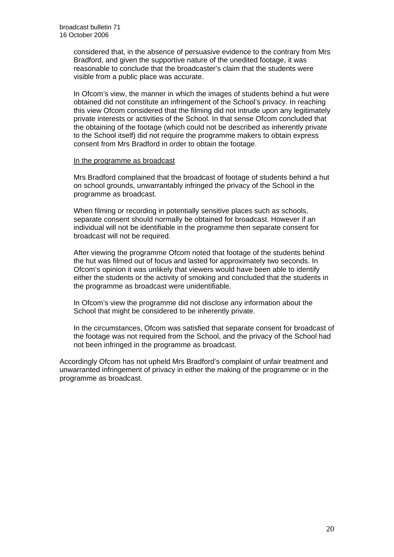considered that, in the absence of persuasive evidence to the contrary from Mrs Bradford, and given the supportive nature of the unedited footage, it was reasonable to conclude that the broadcaster's claim that the students were visible from a public place was accurate.

In Ofcom's view, the manner in which the images of students behind a hut were obtained did not constitute an infringement of the School's privacy. In reaching this view Ofcom considered that the filming did not intrude upon any legitimately private interests or activities of the School. In that sense Ofcom concluded that the obtaining of the footage (which could not be described as inherently private to the School itself) did not require the programme makers to obtain express consent from Mrs Bradford in order to obtain the footage.

#### In the programme as broadcast

Mrs Bradford complained that the broadcast of footage of students behind a hut on school grounds, unwarrantably infringed the privacy of the School in the programme as broadcast.

When filming or recording in potentially sensitive places such as schools, separate consent should normally be obtained for broadcast. However if an individual will not be identifiable in the programme then separate consent for broadcast will not be required.

After viewing the programme Ofcom noted that footage of the students behind the hut was filmed out of focus and lasted for approximately two seconds. In Ofcom's opinion it was unlikely that viewers would have been able to identify either the students or the activity of smoking and concluded that the students in the programme as broadcast were unidentifiable.

In Ofcom's view the programme did not disclose any information about the School that might be considered to be inherently private.

In the circumstances, Ofcom was satisfied that separate consent for broadcast of the footage was not required from the School, and the privacy of the School had not been infringed in the programme as broadcast.

Accordingly Ofcom has not upheld Mrs Bradford's complaint of unfair treatment and unwarranted infringement of privacy in either the making of the programme or in the programme as broadcast.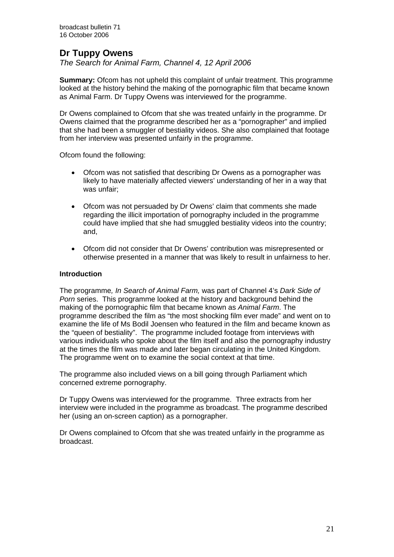## **Dr Tuppy Owens**

*The Search for Animal Farm, Channel 4, 12 April 2006* 

**Summary:** Ofcom has not upheld this complaint of unfair treatment. This programme looked at the history behind the making of the pornographic film that became known as Animal Farm. Dr Tuppy Owens was interviewed for the programme.

Dr Owens complained to Ofcom that she was treated unfairly in the programme. Dr Owens claimed that the programme described her as a "pornographer" and implied that she had been a smuggler of bestiality videos. She also complained that footage from her interview was presented unfairly in the programme.

Ofcom found the following:

- Ofcom was not satisfied that describing Dr Owens as a pornographer was likely to have materially affected viewers' understanding of her in a way that was unfair;
- Ofcom was not persuaded by Dr Owens' claim that comments she made regarding the illicit importation of pornography included in the programme could have implied that she had smuggled bestiality videos into the country; and,
- Ofcom did not consider that Dr Owens' contribution was misrepresented or otherwise presented in a manner that was likely to result in unfairness to her.

#### **Introduction**

The programme*, In Search of Animal Farm,* was part of Channel 4's *Dark Side of Porn* series. This programme looked at the history and background behind the making of the pornographic film that became known as *Animal Farm*. The programme described the film as "the most shocking film ever made" and went on to examine the life of Ms Bodil Joensen who featured in the film and became known as the "queen of bestiality". The programme included footage from interviews with various individuals who spoke about the film itself and also the pornography industry at the times the film was made and later began circulating in the United Kingdom. The programme went on to examine the social context at that time.

The programme also included views on a bill going through Parliament which concerned extreme pornography.

Dr Tuppy Owens was interviewed for the programme. Three extracts from her interview were included in the programme as broadcast. The programme described her (using an on-screen caption) as a pornographer.

Dr Owens complained to Ofcom that she was treated unfairly in the programme as broadcast.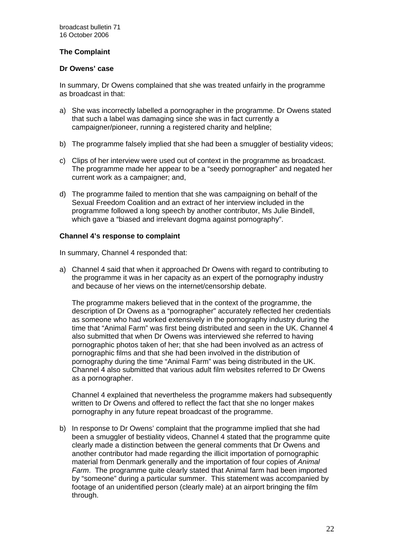#### **The Complaint**

#### **Dr Owens' case**

In summary, Dr Owens complained that she was treated unfairly in the programme as broadcast in that:

- a) She was incorrectly labelled a pornographer in the programme. Dr Owens stated that such a label was damaging since she was in fact currently a campaigner/pioneer, running a registered charity and helpline;
- b) The programme falsely implied that she had been a smuggler of bestiality videos;
- c) Clips of her interview were used out of context in the programme as broadcast. The programme made her appear to be a "seedy pornographer" and negated her current work as a campaigner; and,
- d) The programme failed to mention that she was campaigning on behalf of the Sexual Freedom Coalition and an extract of her interview included in the programme followed a long speech by another contributor, Ms Julie Bindell, which gave a "biased and irrelevant dogma against pornography".

#### **Channel 4's response to complaint**

In summary, Channel 4 responded that:

a) Channel 4 said that when it approached Dr Owens with regard to contributing to the programme it was in her capacity as an expert of the pornography industry and because of her views on the internet/censorship debate.

The programme makers believed that in the context of the programme, the description of Dr Owens as a "pornographer" accurately reflected her credentials as someone who had worked extensively in the pornography industry during the time that "Animal Farm" was first being distributed and seen in the UK. Channel 4 also submitted that when Dr Owens was interviewed she referred to having pornographic photos taken of her; that she had been involved as an actress of pornographic films and that she had been involved in the distribution of pornography during the time "Animal Farm" was being distributed in the UK. Channel 4 also submitted that various adult film websites referred to Dr Owens as a pornographer.

Channel 4 explained that nevertheless the programme makers had subsequently written to Dr Owens and offered to reflect the fact that she no longer makes pornography in any future repeat broadcast of the programme.

b) In response to Dr Owens' complaint that the programme implied that she had been a smuggler of bestiality videos, Channel 4 stated that the programme quite clearly made a distinction between the general comments that Dr Owens and another contributor had made regarding the illicit importation of pornographic material from Denmark generally and the importation of four copies of *Animal Farm*. The programme quite clearly stated that Animal farm had been imported by "someone" during a particular summer. This statement was accompanied by footage of an unidentified person (clearly male) at an airport bringing the film through.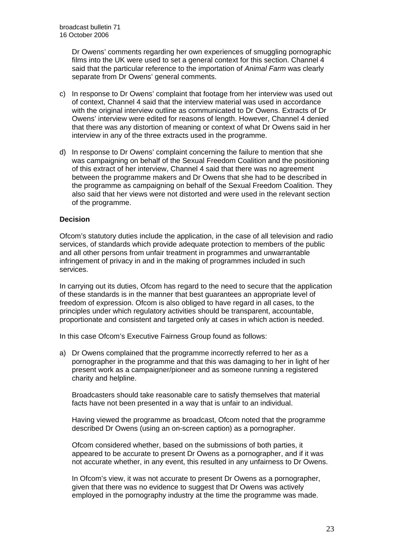Dr Owens' comments regarding her own experiences of smuggling pornographic films into the UK were used to set a general context for this section. Channel 4 said that the particular reference to the importation of *Animal Farm* was clearly separate from Dr Owens' general comments.

- c) In response to Dr Owens' complaint that footage from her interview was used out of context, Channel 4 said that the interview material was used in accordance with the original interview outline as communicated to Dr Owens. Extracts of Dr Owens' interview were edited for reasons of length. However, Channel 4 denied that there was any distortion of meaning or context of what Dr Owens said in her interview in any of the three extracts used in the programme.
- d) In response to Dr Owens' complaint concerning the failure to mention that she was campaigning on behalf of the Sexual Freedom Coalition and the positioning of this extract of her interview, Channel 4 said that there was no agreement between the programme makers and Dr Owens that she had to be described in the programme as campaigning on behalf of the Sexual Freedom Coalition. They also said that her views were not distorted and were used in the relevant section of the programme.

#### **Decision**

Ofcom's statutory duties include the application, in the case of all television and radio services, of standards which provide adequate protection to members of the public and all other persons from unfair treatment in programmes and unwarrantable infringement of privacy in and in the making of programmes included in such services.

In carrying out its duties, Ofcom has regard to the need to secure that the application of these standards is in the manner that best guarantees an appropriate level of freedom of expression. Ofcom is also obliged to have regard in all cases, to the principles under which regulatory activities should be transparent, accountable, proportionate and consistent and targeted only at cases in which action is needed.

In this case Ofcom's Executive Fairness Group found as follows:

a) Dr Owens complained that the programme incorrectly referred to her as a pornographer in the programme and that this was damaging to her in light of her present work as a campaigner/pioneer and as someone running a registered charity and helpline.

 Broadcasters should take reasonable care to satisfy themselves that material facts have not been presented in a way that is unfair to an individual.

 Having viewed the programme as broadcast, Ofcom noted that the programme described Dr Owens (using an on-screen caption) as a pornographer.

 Ofcom considered whether, based on the submissions of both parties, it appeared to be accurate to present Dr Owens as a pornographer, and if it was not accurate whether, in any event, this resulted in any unfairness to Dr Owens.

In Ofcom's view, it was not accurate to present Dr Owens as a pornographer, given that there was no evidence to suggest that Dr Owens was actively employed in the pornography industry at the time the programme was made.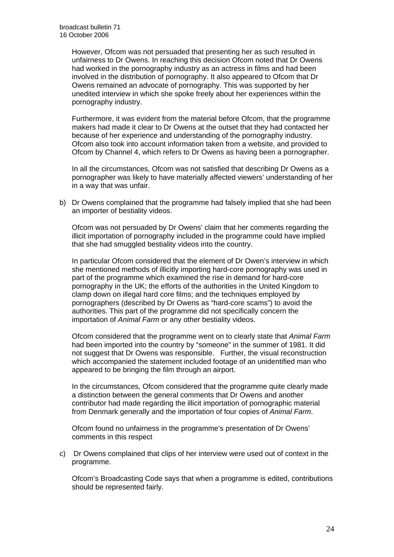However, Ofcom was not persuaded that presenting her as such resulted in unfairness to Dr Owens. In reaching this decision Ofcom noted that Dr Owens had worked in the pornography industry as an actress in films and had been involved in the distribution of pornography. It also appeared to Ofcom that Dr Owens remained an advocate of pornography. This was supported by her unedited interview in which she spoke freely about her experiences within the pornography industry.

Furthermore, it was evident from the material before Ofcom, that the programme makers had made it clear to Dr Owens at the outset that they had contacted her because of her experience and understanding of the pornography industry. Ofcom also took into account information taken from a website, and provided to Ofcom by Channel 4, which refers to Dr Owens as having been a pornographer.

 In all the circumstances, Ofcom was not satisfied that describing Dr Owens as a pornographer was likely to have materially affected viewers' understanding of her in a way that was unfair.

b) Dr Owens complained that the programme had falsely implied that she had been an importer of bestiality videos.

Ofcom was not persuaded by Dr Owens' claim that her comments regarding the illicit importation of pornography included in the programme could have implied that she had smuggled bestiality videos into the country.

In particular Ofcom considered that the element of Dr Owen's interview in which she mentioned methods of illicitly importing hard-core pornography was used in part of the programme which examined the rise in demand for hard-core pornography in the UK; the efforts of the authorities in the United Kingdom to clamp down on illegal hard core films; and the techniques employed by pornographers (described by Dr Owens as "hard-core scams") to avoid the authorities. This part of the programme did not specifically concern the importation of *Animal Farm* or any other bestiality videos.

 Ofcom considered that the programme went on to clearly state that *Animal Farm*  had been imported into the country by "someone" in the summer of 1981. It did not suggest that Dr Owens was responsible. Further, the visual reconstruction which accompanied the statement included footage of an unidentified man who appeared to be bringing the film through an airport.

In the circumstances, Ofcom considered that the programme quite clearly made a distinction between the general comments that Dr Owens and another contributor had made regarding the illicit importation of pornographic material from Denmark generally and the importation of four copies of *Animal Farm*.

Ofcom found no unfairness in the programme's presentation of Dr Owens' comments in this respect

c) Dr Owens complained that clips of her interview were used out of context in the programme.

Ofcom's Broadcasting Code says that when a programme is edited, contributions should be represented fairly.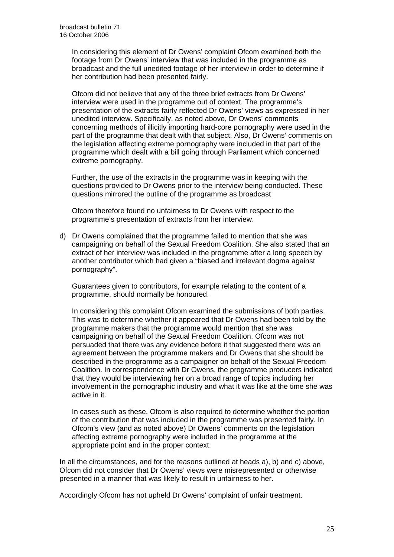In considering this element of Dr Owens' complaint Ofcom examined both the footage from Dr Owens' interview that was included in the programme as broadcast and the full unedited footage of her interview in order to determine if her contribution had been presented fairly.

Ofcom did not believe that any of the three brief extracts from Dr Owens' interview were used in the programme out of context. The programme's presentation of the extracts fairly reflected Dr Owens' views as expressed in her unedited interview. Specifically, as noted above, Dr Owens' comments concerning methods of illicitly importing hard-core pornography were used in the part of the programme that dealt with that subject. Also, Dr Owens' comments on the legislation affecting extreme pornography were included in that part of the programme which dealt with a bill going through Parliament which concerned extreme pornography.

Further, the use of the extracts in the programme was in keeping with the questions provided to Dr Owens prior to the interview being conducted. These questions mirrored the outline of the programme as broadcast

Ofcom therefore found no unfairness to Dr Owens with respect to the programme's presentation of extracts from her interview.

d) Dr Owens complained that the programme failed to mention that she was campaigning on behalf of the Sexual Freedom Coalition. She also stated that an extract of her interview was included in the programme after a long speech by another contributor which had given a "biased and irrelevant dogma against pornography".

 Guarantees given to contributors, for example relating to the content of a programme, should normally be honoured.

In considering this complaint Ofcom examined the submissions of both parties. This was to determine whether it appeared that Dr Owens had been told by the programme makers that the programme would mention that she was campaigning on behalf of the Sexual Freedom Coalition. Ofcom was not persuaded that there was any evidence before it that suggested there was an agreement between the programme makers and Dr Owens that she should be described in the programme as a campaigner on behalf of the Sexual Freedom Coalition. In correspondence with Dr Owens, the programme producers indicated that they would be interviewing her on a broad range of topics including her involvement in the pornographic industry and what it was like at the time she was active in it.

In cases such as these, Ofcom is also required to determine whether the portion of the contribution that was included in the programme was presented fairly. In Ofcom's view (and as noted above) Dr Owens' comments on the legislation affecting extreme pornography were included in the programme at the appropriate point and in the proper context.

In all the circumstances, and for the reasons outlined at heads a), b) and c) above, Ofcom did not consider that Dr Owens' views were misrepresented or otherwise presented in a manner that was likely to result in unfairness to her.

Accordingly Ofcom has not upheld Dr Owens' complaint of unfair treatment.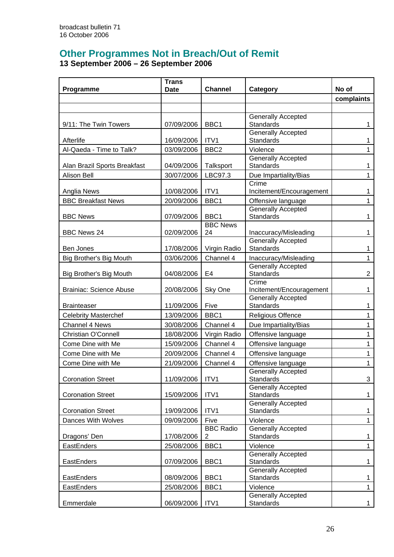# **Other Programmes Not in Breach/Out of Remit**

**13 September 2006 – 26 September 2006**

|                                | <b>Trans</b><br><b>Date</b> | <b>Channel</b>          |                                               | No of          |
|--------------------------------|-----------------------------|-------------------------|-----------------------------------------------|----------------|
| Programme                      |                             |                         | Category                                      |                |
|                                |                             |                         |                                               | complaints     |
|                                |                             |                         |                                               |                |
| 9/11: The Twin Towers          | 07/09/2006                  | BBC <sub>1</sub>        | <b>Generally Accepted</b><br><b>Standards</b> | 1              |
|                                |                             |                         | <b>Generally Accepted</b>                     |                |
| Afterlife                      | 16/09/2006                  | ITV1                    | <b>Standards</b>                              | 1              |
| Al-Qaeda - Time to Talk?       | 03/09/2006                  | BBC <sub>2</sub>        | Violence                                      | 1              |
|                                |                             |                         | <b>Generally Accepted</b>                     |                |
| Alan Brazil Sports Breakfast   | 04/09/2006                  | Talksport               | <b>Standards</b>                              | 1              |
| <b>Alison Bell</b>             | 30/07/2006                  | LBC97.3                 | Due Impartiality/Bias                         | 1              |
|                                |                             |                         | Crime                                         |                |
| Anglia News                    | 10/08/2006                  | ITV1                    | Incitement/Encouragement                      | 1              |
| <b>BBC Breakfast News</b>      | 20/09/2006                  | BBC1                    | Offensive language                            | 1              |
|                                |                             |                         | <b>Generally Accepted</b>                     |                |
| <b>BBC News</b>                | 07/09/2006                  | BBC1<br><b>BBC News</b> | <b>Standards</b>                              | 1              |
| <b>BBC News 24</b>             | 02/09/2006                  | 24                      | Inaccuracy/Misleading                         | 1              |
|                                |                             |                         | <b>Generally Accepted</b>                     |                |
| Ben Jones                      | 17/08/2006                  | Virgin Radio            | <b>Standards</b>                              | 1              |
| Big Brother's Big Mouth        | 03/06/2006                  | Channel 4               | Inaccuracy/Misleading                         | 1              |
|                                |                             |                         | <b>Generally Accepted</b>                     |                |
| Big Brother's Big Mouth        | 04/08/2006                  | E4                      | <b>Standards</b>                              | $\overline{2}$ |
|                                |                             |                         | Crime                                         |                |
| <b>Brainiac: Science Abuse</b> | 20/08/2006                  | Sky One                 | Incitement/Encouragement                      | 1              |
| <b>Brainteaser</b>             | 11/09/2006                  | Five                    | <b>Generally Accepted</b><br><b>Standards</b> | 1              |
| <b>Celebrity Masterchef</b>    | 13/09/2006                  | BBC1                    | <b>Religious Offence</b>                      | $\mathbf{1}$   |
| <b>Channel 4 News</b>          | 30/08/2006                  | Channel 4               |                                               | $\mathbf{1}$   |
|                                |                             |                         | Due Impartiality/Bias                         |                |
| Christian O'Connell            | 18/08/2006                  | Virgin Radio            | Offensive language                            | 1              |
| Come Dine with Me              | 15/09/2006                  | Channel 4               | Offensive language                            | 1              |
| Come Dine with Me              | 20/09/2006                  | Channel 4               | Offensive language                            | 1              |
| Come Dine with Me              | 21/09/2006                  | Channel 4               | Offensive language                            | 1              |
| <b>Coronation Street</b>       | 11/09/2006                  | ITV1                    | <b>Generally Accepted</b><br><b>Standards</b> | 3              |
|                                |                             |                         | <b>Generally Accepted</b>                     |                |
| <b>Coronation Street</b>       | 15/09/2006                  | ITV1                    | <b>Standards</b>                              | 1              |
|                                |                             |                         | <b>Generally Accepted</b>                     |                |
| <b>Coronation Street</b>       | 19/09/2006                  | ITV1                    | <b>Standards</b>                              | 1              |
| Dances With Wolves             | 09/09/2006                  | Five                    | Violence                                      | 1              |
|                                |                             | <b>BBC Radio</b>        | <b>Generally Accepted</b>                     |                |
| Dragons' Den                   | 17/08/2006                  | 2                       | <b>Standards</b>                              | 1              |
| EastEnders                     | 25/08/2006                  | BBC1                    | Violence                                      | $\mathbf{1}$   |
|                                |                             |                         | <b>Generally Accepted</b>                     |                |
| EastEnders                     | 07/09/2006                  | BBC1                    | <b>Standards</b><br><b>Generally Accepted</b> | 1              |
| EastEnders                     | 08/09/2006                  | BBC1                    | Standards                                     | 1              |
| EastEnders                     | 25/08/2006                  | BBC1                    | Violence                                      | $\mathbf{1}$   |
|                                |                             |                         | Generally Accepted                            |                |
| Emmerdale                      | 06/09/2006                  | ITV1                    | <b>Standards</b>                              | $\mathbf{1}$   |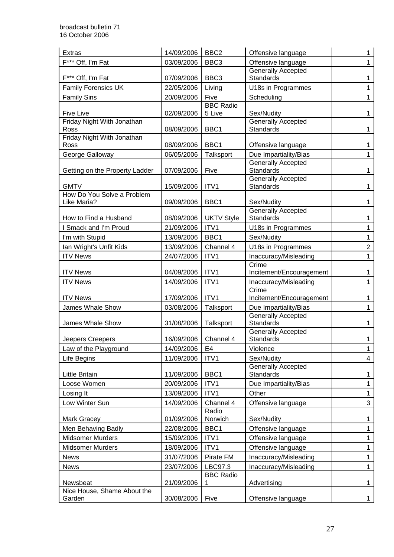| <b>Extras</b>                               | 14/09/2006               | BBC <sub>2</sub>            | Offensive language                            | 1                            |
|---------------------------------------------|--------------------------|-----------------------------|-----------------------------------------------|------------------------------|
| F*** Off, I'm Fat                           | 03/09/2006               | BBC <sub>3</sub>            | Offensive language                            | 1                            |
|                                             |                          |                             | <b>Generally Accepted</b>                     |                              |
| F*** Off, I'm Fat                           | 07/09/2006               | BBC <sub>3</sub>            | <b>Standards</b>                              | 1                            |
| <b>Family Forensics UK</b>                  | 22/05/2006               | Living                      | U18s in Programmes                            | 1                            |
| <b>Family Sins</b>                          | 20/09/2006               | Five                        | Scheduling                                    | 1                            |
| <b>Five Live</b>                            | 02/09/2006               | <b>BBC Radio</b><br>5 Live  | Sex/Nudity                                    | 1                            |
| Friday Night With Jonathan                  |                          |                             | Generally Accepted                            |                              |
| Ross                                        | 08/09/2006               | BBC1                        | Standards                                     | $\mathbf{1}$                 |
| Friday Night With Jonathan                  |                          |                             |                                               |                              |
| Ross                                        | 08/09/2006               | BBC1                        | Offensive language                            | 1                            |
| George Galloway                             | 06/05/2006               | Talksport                   | Due Impartiality/Bias                         | 1                            |
| Getting on the Property Ladder              | 07/09/2006               | Five                        | <b>Generally Accepted</b><br><b>Standards</b> | 1                            |
|                                             |                          |                             | <b>Generally Accepted</b>                     |                              |
| <b>GMTV</b>                                 | 15/09/2006               | ITV1                        | <b>Standards</b>                              | 1                            |
| How Do You Solve a Problem                  |                          |                             |                                               |                              |
| Like Maria?                                 | 09/09/2006               | BBC1                        | Sex/Nudity                                    | 1                            |
| How to Find a Husband                       | 08/09/2006               | <b>UKTV Style</b>           | <b>Generally Accepted</b><br>Standards        | 1                            |
| I Smack and I'm Proud                       | 21/09/2006               | ITV1                        | U18s in Programmes                            | 1                            |
| I'm with Stupid                             | 13/09/2006               | BBC1                        | Sex/Nudity                                    | 1                            |
| Ian Wright's Unfit Kids                     | 13/09/2006               | Channel 4                   | U18s in Programmes                            | $\overline{2}$               |
| <b>ITV News</b>                             | 24/07/2006               | ITV1                        | Inaccuracy/Misleading                         | 1                            |
|                                             |                          |                             | Crime                                         |                              |
| <b>ITV News</b>                             | 04/09/2006               | ITV1                        | Incitement/Encouragement                      | 1                            |
| <b>ITV News</b>                             | 14/09/2006               | ITV1                        | Inaccuracy/Misleading                         | 1                            |
|                                             |                          |                             | Crime                                         |                              |
| <b>ITV News</b>                             | 17/09/2006               | ITV1                        | Incitement/Encouragement                      | 1                            |
| James Whale Show                            | 03/08/2006               | Talksport                   | Due Impartiality/Bias                         | 1                            |
| James Whale Show                            | 31/08/2006               | Talksport                   | <b>Generally Accepted</b><br>Standards        | 1                            |
|                                             |                          |                             | <b>Generally Accepted</b>                     |                              |
| Jeepers Creepers                            | 16/09/2006               | Channel 4                   | Standards                                     | 1                            |
| Law of the Playground                       | 14/09/2006               | E <sub>4</sub>              | Violence                                      | $\mathbf{1}$                 |
| Life Begins                                 | 11/09/2006               | ITV1                        | Sex/Nudity                                    | $\overline{4}$               |
|                                             |                          |                             | <b>Generally Accepted</b>                     |                              |
| Little Britain                              | 11/09/2006               | BBC1                        | <b>Standards</b>                              | $\mathbf{1}$                 |
| Loose Women                                 | 20/09/2006               | ITV1                        | Due Impartiality/Bias                         | $\mathbf{1}$                 |
| Losing It                                   | 13/09/2006               | ITV1                        | Other                                         | $\mathbf{1}$                 |
| Low Winter Sun                              | 14/09/2006               | Channel 4                   | Offensive language                            | $\mathbf{3}$                 |
|                                             | 01/09/2006               | Radio<br>Norwich            | Sex/Nudity                                    |                              |
| Mark Gracey                                 |                          | BBC1                        | Offensive language                            | $\mathbf 1$                  |
| Men Behaving Badly                          | 22/08/2006               |                             |                                               | 1                            |
| <b>Midsomer Murders</b><br>Midsomer Murders | 15/09/2006<br>18/09/2006 | ITV1<br>ITV1                | Offensive language<br>Offensive language      | $\mathbf{1}$<br>$\mathbf{1}$ |
|                                             |                          |                             |                                               |                              |
| <b>News</b>                                 | 31/07/2006               | Pirate FM                   | Inaccuracy/Misleading                         | 1                            |
| <b>News</b>                                 | 23/07/2006               | LBC97.3<br><b>BBC Radio</b> | Inaccuracy/Misleading                         | 1                            |
| Newsbeat                                    | 21/09/2006               | 1                           | Advertising                                   | $\mathbf{1}$                 |
| Nice House, Shame About the                 |                          |                             |                                               |                              |
| Garden                                      | 30/08/2006               | Five                        | Offensive language                            | $\mathbf{1}$                 |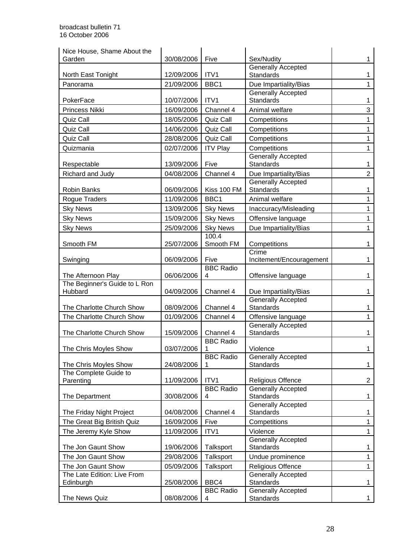| Nice House, Shame About the              |            |                       |                                               |                |
|------------------------------------------|------------|-----------------------|-----------------------------------------------|----------------|
| Garden                                   | 30/08/2006 | Five                  | Sex/Nudity                                    |                |
| North East Tonight                       | 12/09/2006 | ITV1                  | <b>Generally Accepted</b><br>Standards        |                |
| Panorama                                 | 21/09/2006 | BBC1                  | Due Impartiality/Bias                         | 1              |
| PokerFace                                | 10/07/2006 | ITV1                  | <b>Generally Accepted</b><br>Standards        | 1              |
| Princess Nikki                           | 16/09/2006 | Channel 4             | Animal welfare                                | 3              |
| Quiz Call                                | 18/05/2006 | Quiz Call             | Competitions                                  | 1              |
| Quiz Call                                | 14/06/2006 | <b>Quiz Call</b>      | Competitions                                  | 1              |
| Quiz Call                                | 28/08/2006 | Quiz Call             | Competitions                                  | 1              |
| Quizmania                                | 02/07/2006 | <b>ITV Play</b>       | Competitions                                  | 1              |
|                                          |            |                       | <b>Generally Accepted</b>                     |                |
| Respectable                              | 13/09/2006 | Five                  | Standards                                     | 1              |
| Richard and Judy                         | 04/08/2006 | Channel 4             | Due Impartiality/Bias                         | $\overline{2}$ |
| <b>Robin Banks</b>                       | 06/09/2006 | Kiss 100 FM           | <b>Generally Accepted</b><br>Standards        | 1              |
| Rogue Traders                            | 11/09/2006 | BBC <sub>1</sub>      | Animal welfare                                | 1              |
| <b>Sky News</b>                          | 13/09/2006 | <b>Sky News</b>       | Inaccuracy/Misleading                         | 1              |
| <b>Sky News</b>                          | 15/09/2006 | <b>Sky News</b>       | Offensive language                            | 1              |
| <b>Sky News</b>                          | 25/09/2006 | <b>Sky News</b>       | Due Impartiality/Bias                         | 1              |
|                                          |            | 100.4                 |                                               |                |
| Smooth FM                                | 25/07/2006 | Smooth FM             | Competitions                                  | 1              |
| Swinging                                 | 06/09/2006 | Five                  | Crime<br>Incitement/Encouragement             | 1              |
|                                          |            | <b>BBC Radio</b>      |                                               |                |
| The Afternoon Play                       | 06/06/2006 | 4                     | Offensive language                            | 1              |
| The Beginner's Guide to L Ron<br>Hubbard | 04/09/2006 | Channel 4             | Due Impartiality/Bias                         | 1              |
|                                          |            |                       | <b>Generally Accepted</b>                     |                |
| The Charlotte Church Show                | 08/09/2006 | Channel 4             | Standards                                     |                |
| The Charlotte Church Show                | 01/09/2006 | Channel 4             | Offensive language                            | 1              |
| The Charlotte Church Show                | 15/09/2006 | Channel 4             | <b>Generally Accepted</b><br>Standards        | 1              |
|                                          |            | <b>BBC Radio</b>      |                                               |                |
| The Chris Moyles Show                    | 03/07/2006 |                       | Violence                                      | 1              |
| The Chris Moyles Show                    | 24/08/2006 | <b>BBC Radio</b><br>1 | Generally Accepted<br><b>Standards</b>        | 1              |
| The Complete Guide to                    |            |                       |                                               |                |
| Parenting                                | 11/09/2006 | ITV1                  | <b>Religious Offence</b>                      | $\overline{2}$ |
|                                          |            | <b>BBC Radio</b>      | Generally Accepted                            |                |
| The Department                           | 30/08/2006 | 4                     | Standards<br><b>Generally Accepted</b>        | 1              |
| The Friday Night Project                 | 04/08/2006 | Channel 4             | <b>Standards</b>                              | 1              |
| The Great Big British Quiz               | 16/09/2006 | Five                  | Competitions                                  | 1              |
| The Jeremy Kyle Show                     | 11/09/2006 | ITV1                  | Violence                                      | 1              |
| The Jon Gaunt Show                       | 19/06/2006 | Talksport             | <b>Generally Accepted</b><br><b>Standards</b> | 1              |
| The Jon Gaunt Show                       | 29/08/2006 | Talksport             | Undue prominence                              | 1              |
| The Jon Gaunt Show                       | 05/09/2006 | Talksport             | Religious Offence                             | 1              |
| The Late Edition: Live From              |            |                       | <b>Generally Accepted</b>                     |                |
| Edinburgh                                | 25/08/2006 | BBC4                  | Standards                                     | 1              |
|                                          |            | <b>BBC Radio</b>      | Generally Accepted                            |                |
| The News Quiz                            | 08/08/2006 | 4                     | <b>Standards</b>                              | $\mathbf 1$    |